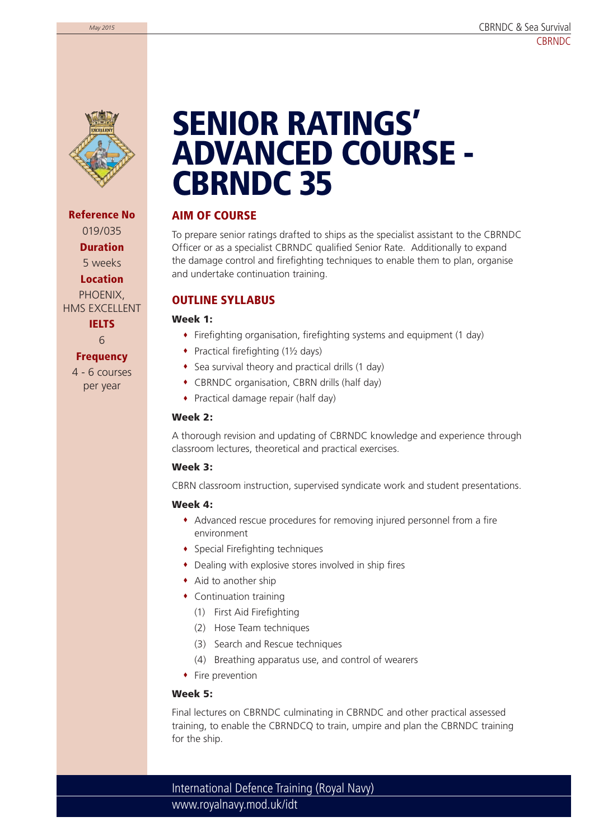

**Reference No** 019/035 **Duration** 5 weeks **Location** PHOENIX, HMS EXCELLENT **IELTS**

6

#### **Frequency**

4 - 6 courses per year

# **SENIOR RATINGS' ADVANCED COURSE - CBRNDC 35**

# **AIM OF COURSE**

To prepare senior ratings drafted to ships as the specialist assistant to the CBRNDC Officer or as a specialist CBRNDC qualified Senior Rate. Additionally to expand the damage control and firefighting techniques to enable them to plan, organise and undertake continuation training.

# **OUTLINE SYLLABUS**

**Week 1:**

- Firefighting organisation, firefighting systems and equipment (1 day)
- $\bullet$  Practical firefighting (1½ days)
- Sea survival theory and practical drills (1 day)
- CBRNDC organisation, CBRN drills (half day)
- Practical damage repair (half day)

#### **Week 2:**

A thorough revision and updating of CBRNDC knowledge and experience through classroom lectures, theoretical and practical exercises.

#### **Week 3:**

CBRN classroom instruction, supervised syndicate work and student presentations.

#### **Week 4:**

- Advanced rescue procedures for removing injured personnel from a fire environment
- Special Firefighting techniques
- Dealing with explosive stores involved in ship fires
- Aid to another ship
- Continuation training
	- (1) First Aid Firefighting
	- (2) Hose Team techniques
	- (3) Search and Rescue techniques
	- (4) Breathing apparatus use, and control of wearers
- Fire prevention

#### **Week 5:**

Final lectures on CBRNDC culminating in CBRNDC and other practical assessed training, to enable the CBRNDCQ to train, umpire and plan the CBRNDC training for the ship.

www.royalnavy.mod.uk/idt International Defence Training (Royal Navy)